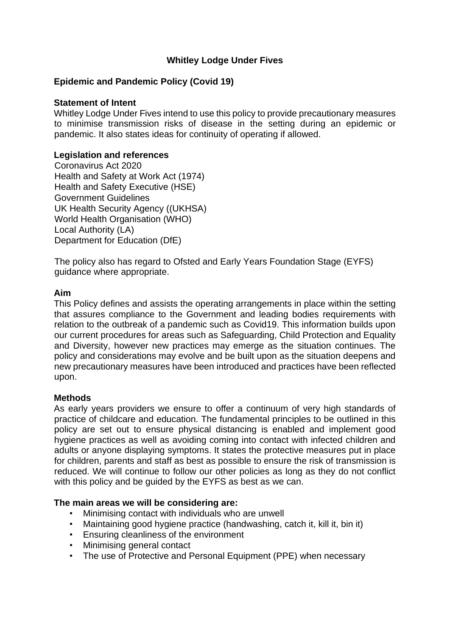## **Whitley Lodge Under Fives**

## **Epidemic and Pandemic Policy (Covid 19)**

### **Statement of Intent**

Whitley Lodge Under Fives intend to use this policy to provide precautionary measures to minimise transmission risks of disease in the setting during an epidemic or pandemic. It also states ideas for continuity of operating if allowed.

### **Legislation and references**

Coronavirus Act 2020 Health and Safety at Work Act (1974) Health and Safety Executive (HSE) Government Guidelines UK Health Security Agency ((UKHSA) World Health Organisation (WHO) Local Authority (LA) Department for Education (DfE)

The policy also has regard to Ofsted and Early Years Foundation Stage (EYFS) guidance where appropriate.

#### **Aim**

This Policy defines and assists the operating arrangements in place within the setting that assures compliance to the Government and leading bodies requirements with relation to the outbreak of a pandemic such as Covid19. This information builds upon our current procedures for areas such as Safeguarding, Child Protection and Equality and Diversity, however new practices may emerge as the situation continues. The policy and considerations may evolve and be built upon as the situation deepens and new precautionary measures have been introduced and practices have been reflected upon.

### **Methods**

As early years providers we ensure to offer a continuum of very high standards of practice of childcare and education. The fundamental principles to be outlined in this policy are set out to ensure physical distancing is enabled and implement good hygiene practices as well as avoiding coming into contact with infected children and adults or anyone displaying symptoms. It states the protective measures put in place for children, parents and staff as best as possible to ensure the risk of transmission is reduced. We will continue to follow our other policies as long as they do not conflict with this policy and be guided by the EYFS as best as we can.

#### **The main areas we will be considering are:**

- Minimising contact with individuals who are unwell
- Maintaining good hygiene practice (handwashing, catch it, kill it, bin it)
- Ensuring cleanliness of the environment
- Minimising general contact
- The use of Protective and Personal Equipment (PPE) when necessary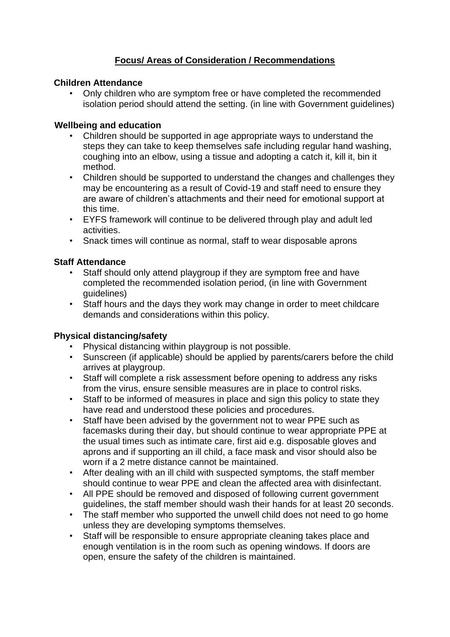# **Focus/ Areas of Consideration / Recommendations**

### **Children Attendance**

• Only children who are symptom free or have completed the recommended isolation period should attend the setting. (in line with Government guidelines)

## **Wellbeing and education**

- Children should be supported in age appropriate ways to understand the steps they can take to keep themselves safe including regular hand washing, coughing into an elbow, using a tissue and adopting a catch it, kill it, bin it method.
- Children should be supported to understand the changes and challenges they may be encountering as a result of Covid-19 and staff need to ensure they are aware of children's attachments and their need for emotional support at this time.
- EYFS framework will continue to be delivered through play and adult led activities.
- Snack times will continue as normal, staff to wear disposable aprons

## **Staff Attendance**

- Staff should only attend playgroup if they are symptom free and have completed the recommended isolation period, (in line with Government guidelines)
- Staff hours and the days they work may change in order to meet childcare demands and considerations within this policy.

### **Physical distancing/safety**

- Physical distancing within playgroup is not possible.
- Sunscreen (if applicable) should be applied by parents/carers before the child arrives at playgroup.
- Staff will complete a risk assessment before opening to address any risks from the virus, ensure sensible measures are in place to control risks.
- Staff to be informed of measures in place and sign this policy to state they have read and understood these policies and procedures.
- Staff have been advised by the government not to wear PPE such as facemasks during their day, but should continue to wear appropriate PPE at the usual times such as intimate care, first aid e.g. disposable gloves and aprons and if supporting an ill child, a face mask and visor should also be worn if a 2 metre distance cannot be maintained.
- After dealing with an ill child with suspected symptoms, the staff member should continue to wear PPE and clean the affected area with disinfectant.
- All PPE should be removed and disposed of following current government guidelines, the staff member should wash their hands for at least 20 seconds.
- The staff member who supported the unwell child does not need to go home unless they are developing symptoms themselves.
- Staff will be responsible to ensure appropriate cleaning takes place and enough ventilation is in the room such as opening windows. If doors are open, ensure the safety of the children is maintained.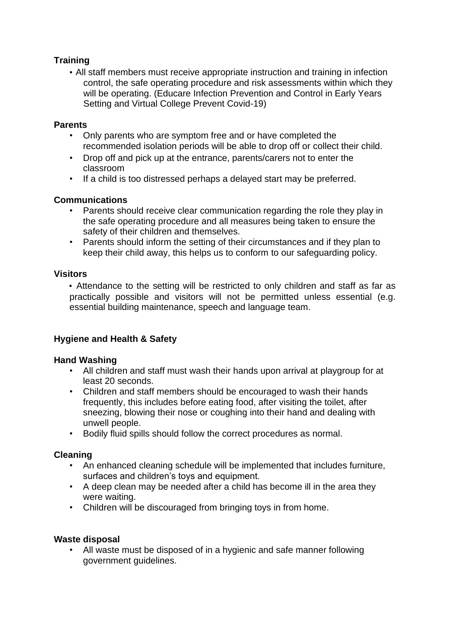# **Training**

• All staff members must receive appropriate instruction and training in infection control, the safe operating procedure and risk assessments within which they will be operating. (Educare Infection Prevention and Control in Early Years Setting and Virtual College Prevent Covid-19)

### **Parents**

- Only parents who are symptom free and or have completed the recommended isolation periods will be able to drop off or collect their child.
- Drop off and pick up at the entrance, parents/carers not to enter the classroom
- If a child is too distressed perhaps a delayed start may be preferred.

### **Communications**

- Parents should receive clear communication regarding the role they play in the safe operating procedure and all measures being taken to ensure the safety of their children and themselves.
- Parents should inform the setting of their circumstances and if they plan to keep their child away, this helps us to conform to our safeguarding policy.

### **Visitors**

• Attendance to the setting will be restricted to only children and staff as far as practically possible and visitors will not be permitted unless essential (e.g. essential building maintenance, speech and language team.

## **Hygiene and Health & Safety**

### **Hand Washing**

- All children and staff must wash their hands upon arrival at playgroup for at least 20 seconds.
- Children and staff members should be encouraged to wash their hands frequently, this includes before eating food, after visiting the toilet, after sneezing, blowing their nose or coughing into their hand and dealing with unwell people.
- Bodily fluid spills should follow the correct procedures as normal.

### **Cleaning**

- An enhanced cleaning schedule will be implemented that includes furniture, surfaces and children's toys and equipment.
- A deep clean may be needed after a child has become ill in the area they were waiting.
- Children will be discouraged from bringing toys in from home.

### **Waste disposal**

• All waste must be disposed of in a hygienic and safe manner following government guidelines.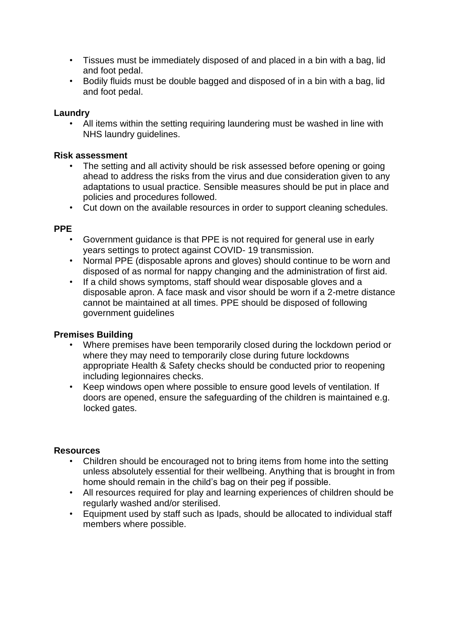- Tissues must be immediately disposed of and placed in a bin with a bag, lid and foot pedal.
- Bodily fluids must be double bagged and disposed of in a bin with a bag, lid and foot pedal.

### **Laundry**

All items within the setting requiring laundering must be washed in line with NHS laundry guidelines.

### **Risk assessment**

- The setting and all activity should be risk assessed before opening or going ahead to address the risks from the virus and due consideration given to any adaptations to usual practice. Sensible measures should be put in place and policies and procedures followed.
- Cut down on the available resources in order to support cleaning schedules.

### **PPE**

- Government guidance is that PPE is not required for general use in early years settings to protect against COVID- 19 transmission.
- Normal PPE (disposable aprons and gloves) should continue to be worn and disposed of as normal for nappy changing and the administration of first aid.
- If a child shows symptoms, staff should wear disposable gloves and a disposable apron. A face mask and visor should be worn if a 2-metre distance cannot be maintained at all times. PPE should be disposed of following government guidelines

### **Premises Building**

- Where premises have been temporarily closed during the lockdown period or where they may need to temporarily close during future lockdowns appropriate Health & Safety checks should be conducted prior to reopening including legionnaires checks.
- Keep windows open where possible to ensure good levels of ventilation. If doors are opened, ensure the safeguarding of the children is maintained e.g. locked gates.

### **Resources**

- Children should be encouraged not to bring items from home into the setting unless absolutely essential for their wellbeing. Anything that is brought in from home should remain in the child's bag on their peg if possible.
- All resources required for play and learning experiences of children should be regularly washed and/or sterilised.
- Equipment used by staff such as Ipads, should be allocated to individual staff members where possible.